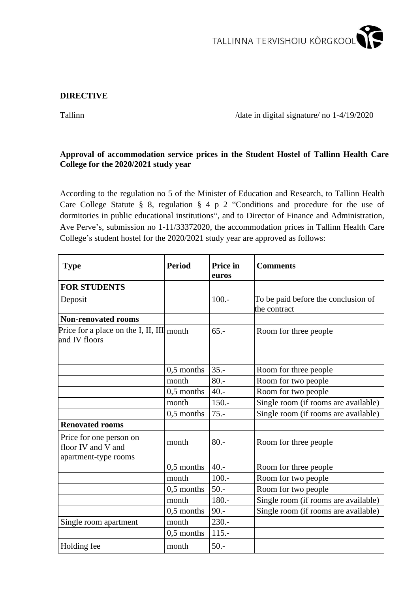

## **DIRECTIVE**

Tallinn /date in digital signature/ no 1-4/19/2020

## **Approval of accommodation service prices in the Student Hostel of Tallinn Health Care College for the 2020/2021 study year**

According to the regulation no 5 of the Minister of Education and Research, to Tallinn Health Care College Statute § 8, regulation § 4 p 2 "Conditions and procedure for the use of dormitories in public educational institutions", and to Director of Finance and Administration, Ave Perve's, submission no 1-11/33372020, the accommodation prices in Tallinn Health Care College's student hostel for the 2020/2021 study year are approved as follows:

| <b>Type</b>                                                           | <b>Period</b> | Price in<br>euros | <b>Comments</b>                                     |  |
|-----------------------------------------------------------------------|---------------|-------------------|-----------------------------------------------------|--|
| <b>FOR STUDENTS</b>                                                   |               |                   |                                                     |  |
| Deposit                                                               |               | $100. -$          | To be paid before the conclusion of<br>the contract |  |
| <b>Non-renovated rooms</b>                                            |               |                   |                                                     |  |
| Price for a place on the I, II, III month<br>and IV floors            |               | $65. -$           | Room for three people                               |  |
|                                                                       | $0.5$ months  | $35. -$           | Room for three people                               |  |
|                                                                       | month         | $80 -$            | Room for two people                                 |  |
|                                                                       | $0,5$ months  | $40. -$           | Room for two people                                 |  |
|                                                                       | month         | $150. -$          | Single room (if rooms are available)                |  |
|                                                                       | $0,5$ months  | $75. -$           | Single room (if rooms are available)                |  |
| <b>Renovated rooms</b>                                                |               |                   |                                                     |  |
| Price for one person on<br>floor IV and V and<br>apartment-type rooms | month         | $80 -$            | Room for three people                               |  |
|                                                                       | $0,5$ months  | $40. -$           | Room for three people                               |  |
|                                                                       | month         | $100. -$          | Room for two people                                 |  |
|                                                                       | $0.5$ months  | $50. -$           | Room for two people                                 |  |
|                                                                       | month         | $180 -$           | Single room (if rooms are available)                |  |
|                                                                       | $0,5$ months  | $90. -$           | Single room (if rooms are available)                |  |
| Single room apartment                                                 | month         | $230. -$          |                                                     |  |
|                                                                       | $0,5$ months  | $115. -$          |                                                     |  |
| Holding fee                                                           | month         | $50. -$           |                                                     |  |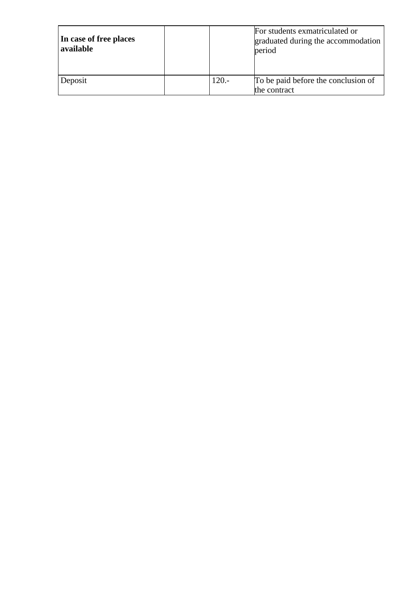| In case of free places<br>available |         | For students exmatriculated or<br>graduated during the accommodation<br>period |  |
|-------------------------------------|---------|--------------------------------------------------------------------------------|--|
| Deposit                             | $120 -$ | To be paid before the conclusion of                                            |  |
|                                     |         | the contract                                                                   |  |